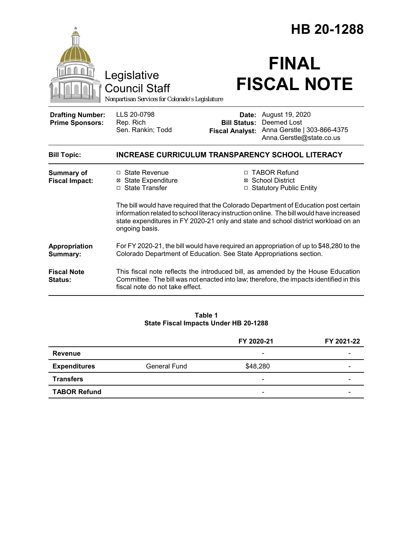|                                                   | Legislative<br><b>Council Staff</b><br>Nonpartisan Services for Colorado's Legislature                                                                                                                                                                                                                                                                                                                                                |                                               | HB 20-1288<br><b>FINAL</b><br><b>FISCAL NOTE</b>                                                                                                                            |
|---------------------------------------------------|---------------------------------------------------------------------------------------------------------------------------------------------------------------------------------------------------------------------------------------------------------------------------------------------------------------------------------------------------------------------------------------------------------------------------------------|-----------------------------------------------|-----------------------------------------------------------------------------------------------------------------------------------------------------------------------------|
| <b>Drafting Number:</b><br><b>Prime Sponsors:</b> | LLS 20-0798<br>Rep. Rich<br>Sen. Rankin; Todd                                                                                                                                                                                                                                                                                                                                                                                         | <b>Bill Status:</b><br><b>Fiscal Analyst:</b> | Date: August 19, 2020<br>Deemed Lost<br>Anna Gerstle   303-866-4375<br>Anna.Gerstle@state.co.us                                                                             |
| <b>Bill Topic:</b>                                | <b>INCREASE CURRICULUM TRANSPARENCY SCHOOL LITERACY</b>                                                                                                                                                                                                                                                                                                                                                                               |                                               |                                                                                                                                                                             |
| <b>Summary of</b><br><b>Fiscal Impact:</b>        | □ TABOR Refund<br>$\Box$ State Revenue<br><b>⊠</b> State Expenditure<br>⊠ School District<br>□ State Transfer<br>□ Statutory Public Entity<br>The bill would have required that the Colorado Department of Education post certain<br>information related to school literacy instruction online. The bill would have increased<br>state expenditures in FY 2020-21 only and state and school district workload on an<br>ongoing basis. |                                               |                                                                                                                                                                             |
| Appropriation<br>Summary:                         | For FY 2020-21, the bill would have required an appropriation of up to \$48,280 to the<br>Colorado Department of Education. See State Appropriations section.                                                                                                                                                                                                                                                                         |                                               |                                                                                                                                                                             |
| <b>Fiscal Note</b><br><b>Status:</b>              | fiscal note do not take effect.                                                                                                                                                                                                                                                                                                                                                                                                       |                                               | This fiscal note reflects the introduced bill, as amended by the House Education<br>Committee. The bill was not enacted into law; therefore, the impacts identified in this |
|                                                   |                                                                                                                                                                                                                                                                                                                                                                                                                                       |                                               |                                                                                                                                                                             |

#### **Table 1 State Fiscal Impacts Under HB 20-1288**

|                     |                     | FY 2020-21               | FY 2021-22 |
|---------------------|---------------------|--------------------------|------------|
| <b>Revenue</b>      |                     | $\overline{\phantom{0}}$ |            |
| <b>Expenditures</b> | <b>General Fund</b> | \$48,280                 |            |
| <b>Transfers</b>    |                     | -                        |            |
| <b>TABOR Refund</b> |                     | $\overline{\phantom{a}}$ |            |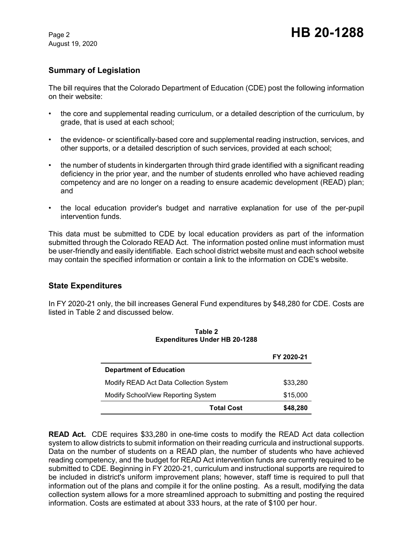August 19, 2020

# **Summary of Legislation**

The bill requires that the Colorado Department of Education (CDE) post the following information on their website:

- the core and supplemental reading curriculum, or a detailed description of the curriculum, by grade, that is used at each school;
- the evidence- or scientifically-based core and supplemental reading instruction, services, and other supports, or a detailed description of such services, provided at each school;
- the number of students in kindergarten through third grade identified with a significant reading deficiency in the prior year, and the number of students enrolled who have achieved reading competency and are no longer on a reading to ensure academic development (READ) plan; and
- the local education provider's budget and narrative explanation for use of the per-pupil intervention funds.

This data must be submitted to CDE by local education providers as part of the information submitted through the Colorado READ Act. The information posted online must information must be user-friendly and easily identifiable. Each school district website must and each school website may contain the specified information or contain a link to the information on CDE's website.

## **State Expenditures**

In FY 2020-21 only, the bill increases General Fund expenditures by \$48,280 for CDE. Costs are listed in Table 2 and discussed below.

|                                        | FY 2020-21 |  |  |
|----------------------------------------|------------|--|--|
| <b>Department of Education</b>         |            |  |  |
| Modify READ Act Data Collection System | \$33,280   |  |  |
| Modify SchoolView Reporting System     | \$15,000   |  |  |
| <b>Total Cost</b>                      | \$48,280   |  |  |

**Table 2 Expenditures Under HB 20-1288**

**READ Act.** CDE requires \$33,280 in one-time costs to modify the READ Act data collection system to allow districts to submit information on their reading curricula and instructional supports. Data on the number of students on a READ plan, the number of students who have achieved reading competency, and the budget for READ Act intervention funds are currently required to be submitted to CDE. Beginning in FY 2020-21, curriculum and instructional supports are required to be included in district's uniform improvement plans; however, staff time is required to pull that information out of the plans and compile it for the online posting. As a result, modifying the data collection system allows for a more streamlined approach to submitting and posting the required information. Costs are estimated at about 333 hours, at the rate of \$100 per hour.